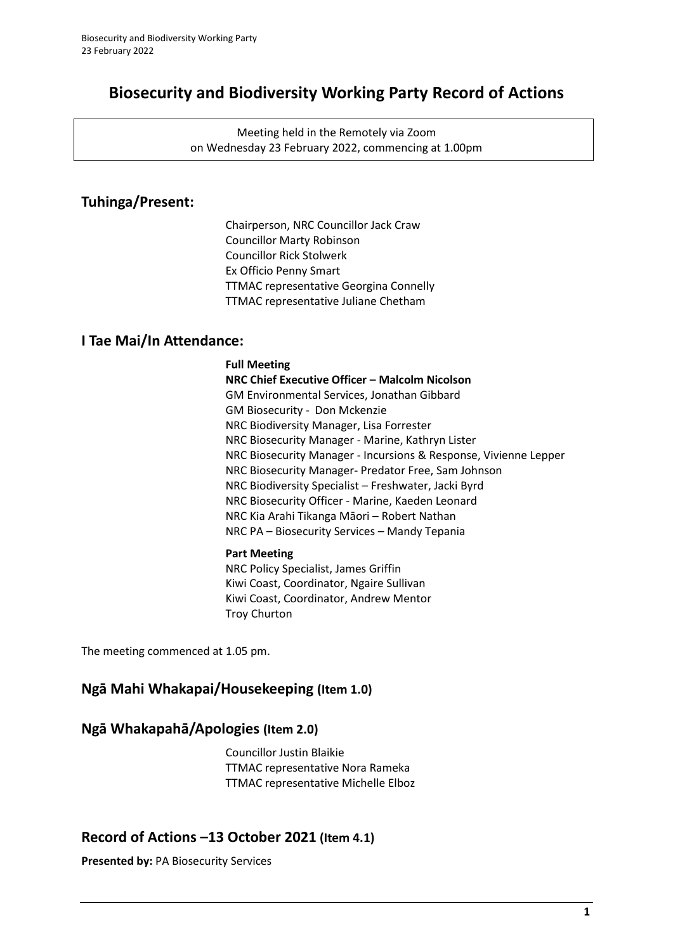# **Biosecurity and Biodiversity Working Party Record of Actions**

Meeting held in the Remotely via Zoom on Wednesday 23 February 2022, commencing at 1.00pm

## **Tuhinga/Present:**

Chairperson, NRC Councillor Jack Craw Councillor Marty Robinson Councillor Rick Stolwerk Ex Officio Penny Smart TTMAC representative Georgina Connelly TTMAC representative Juliane Chetham

## **I Tae Mai/In Attendance:**

### **Full Meeting**

**NRC Chief Executive Officer – Malcolm Nicolson** GM Environmental Services, Jonathan Gibbard GM Biosecurity - Don Mckenzie NRC Biodiversity Manager, Lisa Forrester NRC Biosecurity Manager - Marine, Kathryn Lister NRC Biosecurity Manager - Incursions & Response, Vivienne Lepper NRC Biosecurity Manager- Predator Free, Sam Johnson NRC Biodiversity Specialist – Freshwater, Jacki Byrd NRC Biosecurity Officer - Marine, Kaeden Leonard NRC Kia Arahi Tikanga Māori – Robert Nathan NRC PA – Biosecurity Services – Mandy Tepania

### **Part Meeting**

NRC Policy Specialist, James Griffin Kiwi Coast, Coordinator, Ngaire Sullivan Kiwi Coast, Coordinator, Andrew Mentor Troy Churton

The meeting commenced at 1.05 pm.

## **Ngā Mahi Whakapai/Housekeeping (Item 1.0)**

## **Ngā Whakapahā/Apologies (Item 2.0)**

Councillor Justin Blaikie TTMAC representative Nora Rameka TTMAC representative Michelle Elboz

## **Record of Actions –13 October 2021 (Item 4.1)**

**Presented by:** PA Biosecurity Services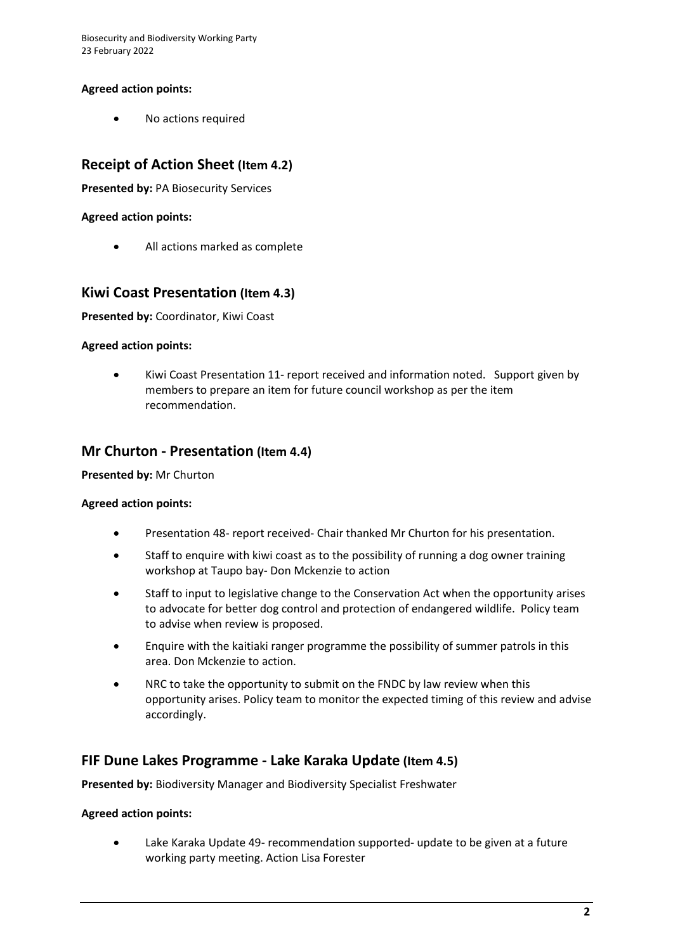Biosecurity and Biodiversity Working Party 23 February 2022

### **Agreed action points:**

• No actions required

## **Receipt of Action Sheet (Item 4.2)**

**Presented by:** PA Biosecurity Services

### **Agreed action points:**

All actions marked as complete

### **Kiwi Coast Presentation (Item 4.3)**

**Presented by:** Coordinator, Kiwi Coast

### **Agreed action points:**

• Kiwi Coast Presentation 11- report received and information noted. Support given by members to prepare an item for future council workshop as per the item recommendation.

### **Mr Churton - Presentation (Item 4.4)**

#### **Presented by:** Mr Churton

#### **Agreed action points:**

- Presentation 48- report received- Chair thanked Mr Churton for his presentation.
- Staff to enquire with kiwi coast as to the possibility of running a dog owner training workshop at Taupo bay- Don Mckenzie to action
- Staff to input to legislative change to the Conservation Act when the opportunity arises to advocate for better dog control and protection of endangered wildlife. Policy team to advise when review is proposed.
- Enquire with the kaitiaki ranger programme the possibility of summer patrols in this area. Don Mckenzie to action.
- NRC to take the opportunity to submit on the FNDC by law review when this opportunity arises. Policy team to monitor the expected timing of this review and advise accordingly.

### **FIF Dune Lakes Programme - Lake Karaka Update (Item 4.5)**

**Presented by:** Biodiversity Manager and Biodiversity Specialist Freshwater

#### **Agreed action points:**

Lake Karaka Update 49- recommendation supported- update to be given at a future working party meeting. Action Lisa Forester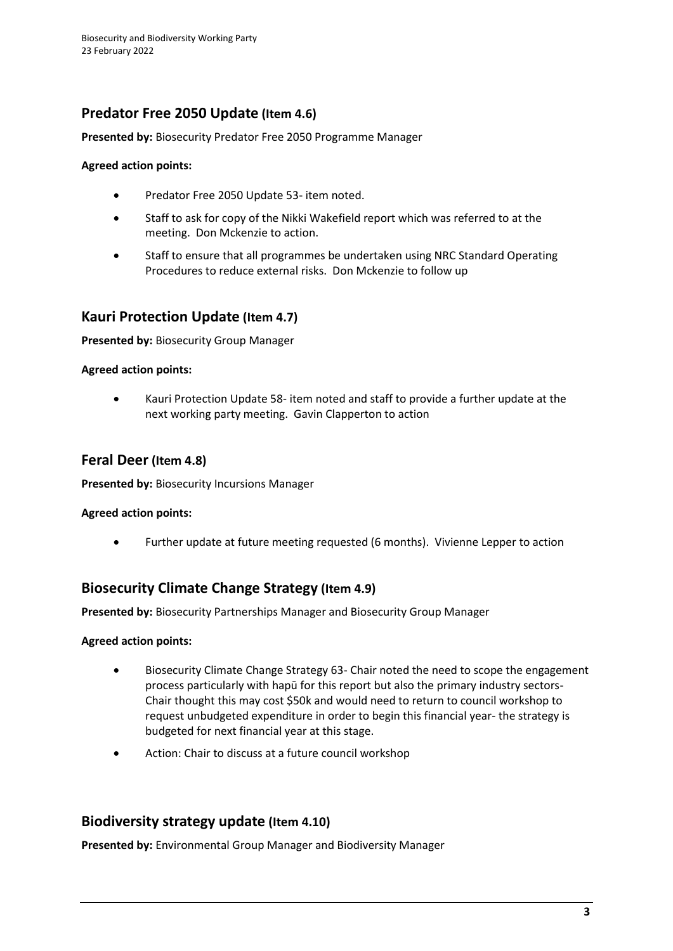## **Predator Free 2050 Update (Item 4.6)**

### **Presented by:** Biosecurity Predator Free 2050 Programme Manager

### **Agreed action points:**

- Predator Free 2050 Update 53- item noted.
- Staff to ask for copy of the Nikki Wakefield report which was referred to at the meeting. Don Mckenzie to action.
- Staff to ensure that all programmes be undertaken using NRC Standard Operating Procedures to reduce external risks. Don Mckenzie to follow up

## **Kauri Protection Update (Item 4.7)**

**Presented by:** Biosecurity Group Manager

### **Agreed action points:**

• Kauri Protection Update 58- item noted and staff to provide a further update at the next working party meeting. Gavin Clapperton to action

### **Feral Deer (Item 4.8)**

**Presented by:** Biosecurity Incursions Manager

#### **Agreed action points:**

• Further update at future meeting requested (6 months). Vivienne Lepper to action

### **Biosecurity Climate Change Strategy (Item 4.9)**

**Presented by:** Biosecurity Partnerships Manager and Biosecurity Group Manager

#### **Agreed action points:**

- Biosecurity Climate Change Strategy 63- Chair noted the need to scope the engagement process particularly with hapū for this report but also the primary industry sectors-Chair thought this may cost \$50k and would need to return to council workshop to request unbudgeted expenditure in order to begin this financial year- the strategy is budgeted for next financial year at this stage.
- Action: Chair to discuss at a future council workshop

### **Biodiversity strategy update (Item 4.10)**

**Presented by:** Environmental Group Manager and Biodiversity Manager